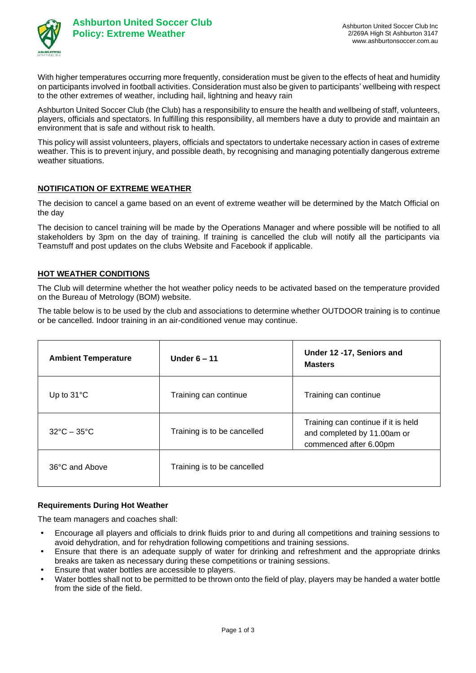

With higher temperatures occurring more frequently, consideration must be given to the effects of heat and humidity on participants involved in football activities. Consideration must also be given to participants' wellbeing with respect to the other extremes of weather, including hail, lightning and heavy rain

Ashburton United Soccer Club (the Club) has a responsibility to ensure the health and wellbeing of staff, volunteers, players, officials and spectators. In fulfilling this responsibility, all members have a duty to provide and maintain an environment that is safe and without risk to health.

This policy will assist volunteers, players, officials and spectators to undertake necessary action in cases of extreme weather. This is to prevent injury, and possible death, by recognising and managing potentially dangerous extreme weather situations.

## **NOTIFICATION OF EXTREME WEATHER**

The decision to cancel a game based on an event of extreme weather will be determined by the Match Official on the day

The decision to cancel training will be made by the Operations Manager and where possible will be notified to all stakeholders by 3pm on the day of training. If training is cancelled the club will notify all the participants via Teamstuff and post updates on the clubs Website and Facebook if applicable.

## **HOT WEATHER CONDITIONS**

The Club will determine whether the hot weather policy needs to be activated based on the temperature provided on the Bureau of Metrology (BOM) website.

The table below is to be used by the club and associations to determine whether OUTDOOR training is to continue or be cancelled. Indoor training in an air-conditioned venue may continue.

| <b>Ambient Temperature</b>      | Under $6 - 11$              | Under 12 -17, Seniors and<br><b>Masters</b>                                                  |
|---------------------------------|-----------------------------|----------------------------------------------------------------------------------------------|
| Up to $31^{\circ}$ C            | Training can continue       | Training can continue                                                                        |
| $32^{\circ}$ C – $35^{\circ}$ C | Training is to be cancelled | Training can continue if it is held<br>and completed by 11.00am or<br>commenced after 6.00pm |
| 36°C and Above                  | Training is to be cancelled |                                                                                              |

## **Requirements During Hot Weather**

The team managers and coaches shall:

- Encourage all players and officials to drink fluids prior to and during all competitions and training sessions to avoid dehydration, and for rehydration following competitions and training sessions.
- Ensure that there is an adequate supply of water for drinking and refreshment and the appropriate drinks breaks are taken as necessary during these competitions or training sessions.
- Ensure that water bottles are accessible to players.
- Water bottles shall not to be permitted to be thrown onto the field of play, players may be handed a water bottle from the side of the field.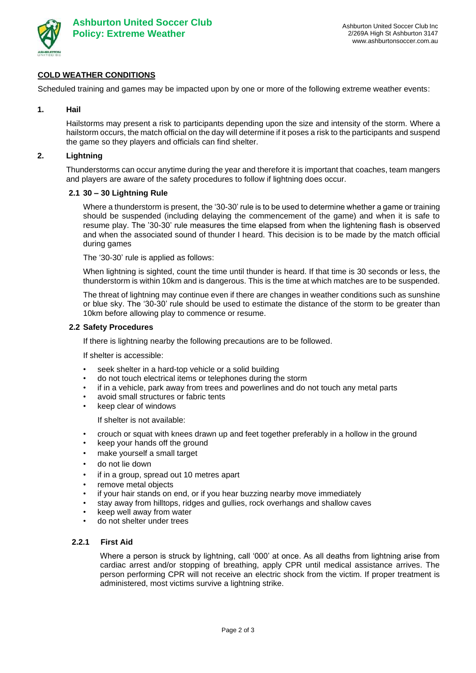

# **COLD WEATHER CONDITIONS**

Scheduled training and games may be impacted upon by one or more of the following extreme weather events:

#### **1. Hail**

Hailstorms may present a risk to participants depending upon the size and intensity of the storm. Where a hailstorm occurs, the match official on the day will determine if it poses a risk to the participants and suspend the game so they players and officials can find shelter.

## **2. Lightning**

Thunderstorms can occur anytime during the year and therefore it is important that coaches, team mangers and players are aware of the safety procedures to follow if lightning does occur.

#### **2.1 30 – 30 Lightning Rule**

Where a thunderstorm is present, the '30-30' rule is to be used to determine whether a game or training should be suspended (including delaying the commencement of the game) and when it is safe to resume play. The '30-30' rule measures the time elapsed from when the lightening flash is observed and when the associated sound of thunder I heard. This decision is to be made by the match official during games

The '30-30' rule is applied as follows:

When lightning is sighted, count the time until thunder is heard. If that time is 30 seconds or less, the thunderstorm is within 10km and is dangerous. This is the time at which matches are to be suspended.

The threat of lightning may continue even if there are changes in weather conditions such as sunshine or blue sky. The '30-30' rule should be used to estimate the distance of the storm to be greater than 10km before allowing play to commence or resume.

#### **2.2 Safety Procedures**

If there is lightning nearby the following precautions are to be followed.

If shelter is accessible:

- seek shelter in a hard-top vehicle or a solid building
- do not touch electrical items or telephones during the storm
- if in a vehicle, park away from trees and powerlines and do not touch any metal parts
- avoid small structures or fabric tents
- keep clear of windows

If shelter is not available:

- crouch or squat with knees drawn up and feet together preferably in a hollow in the ground
- keep your hands off the ground
- make yourself a small target
- do not lie down
- if in a group, spread out 10 metres apart
- remove metal objects
- if your hair stands on end, or if you hear buzzing nearby move immediately
- stay away from hilltops, ridges and gullies, rock overhangs and shallow caves
- keep well away from water
- do not shelter under trees

## **2.2.1 First Aid**

Where a person is struck by lightning, call '000' at once. As all deaths from lightning arise from cardiac arrest and/or stopping of breathing, apply CPR until medical assistance arrives. The person performing CPR will not receive an electric shock from the victim. If proper treatment is administered, most victims survive a lightning strike.